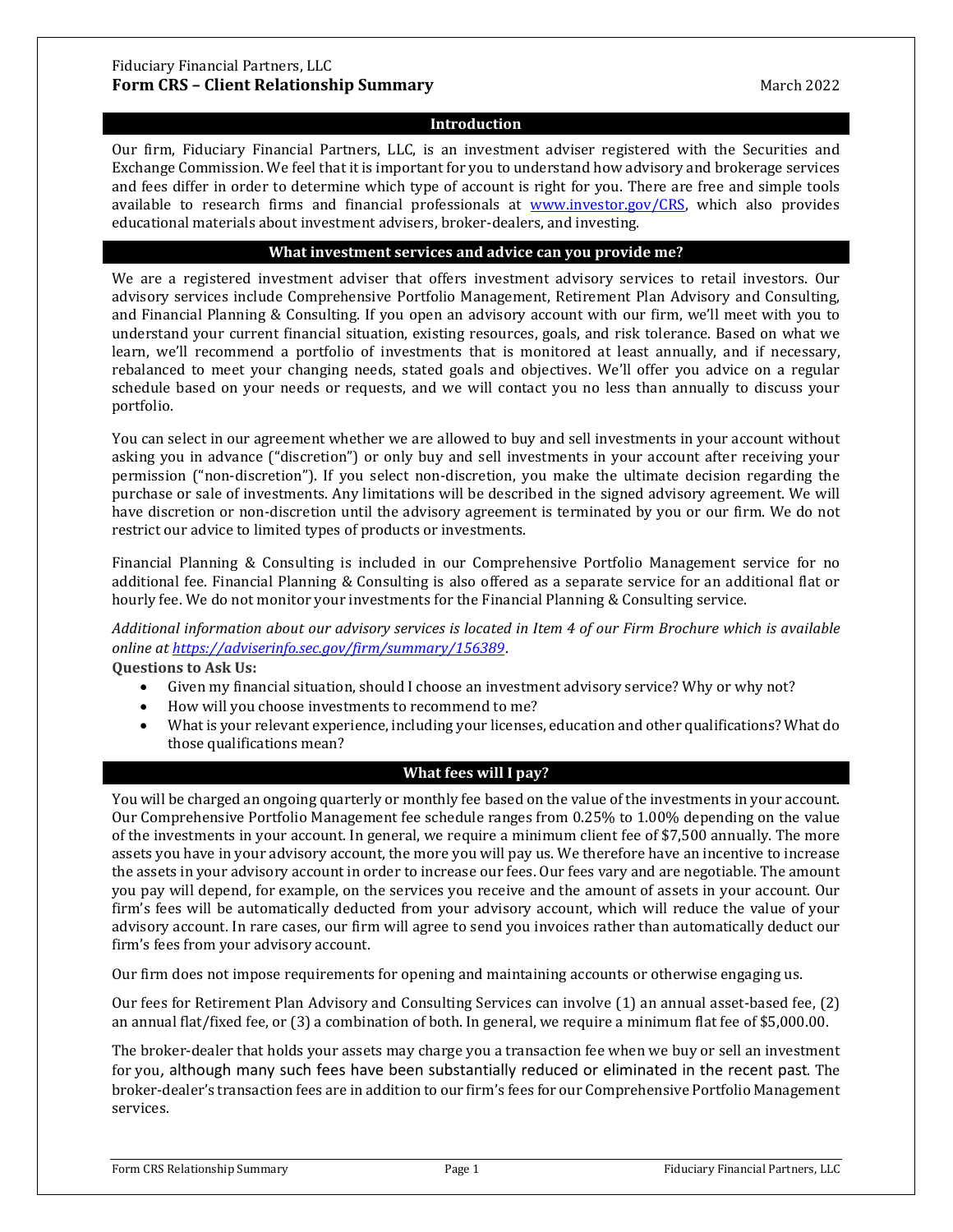### Fiduciary Financial Partners, LLC **Form CRS – Client Relationship Summary March 2022** March 2022

# **Introduction**

Our firm, Fiduciary Financial Partners, LLC, is an investment adviser registered with the Securities and Exchange Commission. We feel that it is important for you to understand how advisory and brokerage services and fees differ in order to determine which type of account is right for you. There are free and simple tools available to research firms and financial professionals at [www.investor.gov/CRS,](http://www.investor.gov/CRS) which also provides educational materials about investment advisers, broker-dealers, and investing.

#### **What investment services and advice can you provide me?**

We are a registered investment adviser that offers investment advisory services to retail investors. Our advisory services include Comprehensive Portfolio Management, Retirement Plan Advisory and Consulting, and Financial Planning & Consulting. If you open an advisory account with our firm, we'll meet with you to understand your current financial situation, existing resources, goals, and risk tolerance. Based on what we learn, we'll recommend a portfolio of investments that is monitored at least annually, and if necessary, rebalanced to meet your changing needs, stated goals and objectives. We'll offer you advice on a regular schedule based on your needs or requests, and we will contact you no less than annually to discuss your portfolio.

You can select in our agreement whether we are allowed to buy and sell investments in your account without asking you in advance ("discretion") or only buy and sell investments in your account after receiving your permission ("non-discretion"). If you select non-discretion, you make the ultimate decision regarding the purchase or sale of investments. Any limitations will be described in the signed advisory agreement. We will have discretion or non-discretion until the advisory agreement is terminated by you or our firm. We do not restrict our advice to limited types of products or investments.

Financial Planning & Consulting is included in our Comprehensive Portfolio Management service for no additional fee. Financial Planning & Consulting is also offered as a separate service for an additional flat or hourly fee. We do not monitor your investments for the Financial Planning & Consulting service.

*Additional information about our advisory services is located in Item 4 of our Firm Brochure which is available online at <https://adviserinfo.sec.gov/firm/summary/156389>*.

**Questions to Ask Us:**

- Given my financial situation, should I choose an investment advisory service? Why or why not?
- How will you choose investments to recommend to me?<br>• What is your relevant experience including your licenses
- What is your relevant experience, including your licenses, education and other qualifications? What do those qualifications mean?

# **What fees will I pay?**

You will be charged an ongoing quarterly or monthly fee based on the value of the investments in your account. Our Comprehensive Portfolio Management fee schedule ranges from 0.25% to 1.00% depending on the value of the investments in your account. In general, we require a minimum client fee of \$7,500 annually. The more assets you have in your advisory account, the more you will pay us. We therefore have an incentive to increase the assets in your advisory account in order to increase our fees. Our fees vary and are negotiable. The amount you pay will depend, for example, on the services you receive and the amount of assets in your account. Our firm's fees will be automatically deducted from your advisory account, which will reduce the value of your advisory account. In rare cases, our firm will agree to send you invoices rather than automatically deduct our firm's fees from your advisory account.

Our firm does not impose requirements for opening and maintaining accounts or otherwise engaging us.

Our fees for Retirement Plan Advisory and Consulting Services can involve (1) an annual asset-based fee, (2) an annual flat/fixed fee, or (3) a combination of both. In general, we require a minimum flat fee of \$5,000.00.

The broker-dealer that holds your assets may charge you a transaction fee when we buy or sell an investment for you, although many such fees have been substantially reduced or eliminated in the recent past. The broker-dealer's transaction fees are in addition to our firm's fees for our Comprehensive Portfolio Management services.